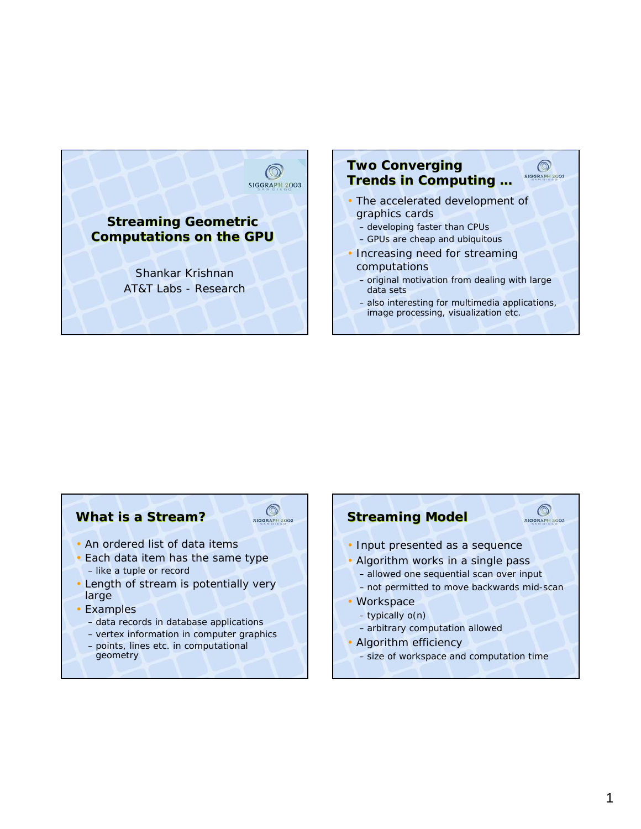

#### **Two Converging**   $\circledcirc$ **SIGGRAPH 2003 Trends in Computing …** • The accelerated development of graphics cards

- developing faster than CPUs
- GPUs are cheap and ubiquitous
- Increasing need for streaming computations
	- original motivation from dealing with large data sets
	- also interesting for multimedia applications, image processing, visualization etc.

### **What is a Stream?**



- An ordered list of data items
- Each data item has the same type – like a tuple or record
- Length of stream is potentially very large
- Examples
	- *data records* in database applications
	- *vertex information* in computer graphics
	- *points, lines etc.* in computational geometry

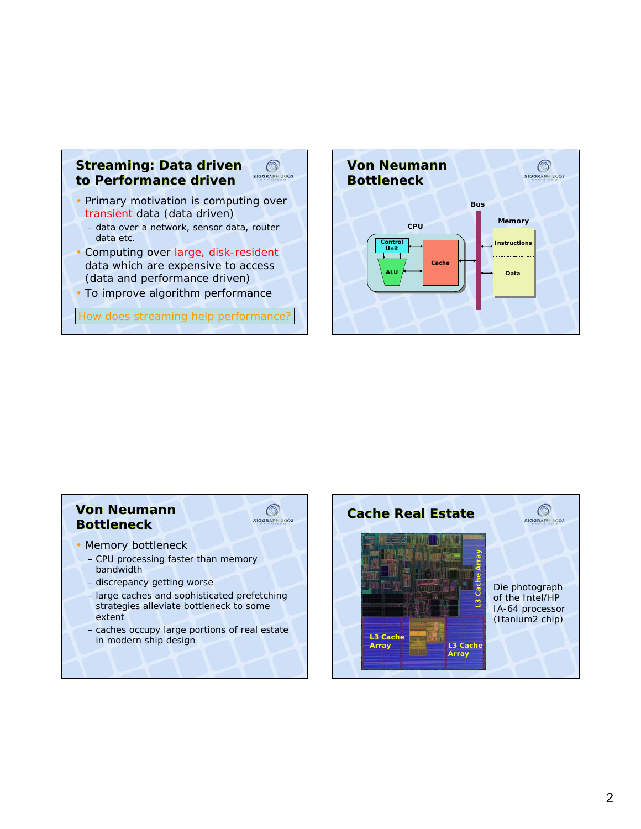

- (data and performance driven)
- To improve algorithm performance

How does streaming help performance?



# **Von Neumann Bottleneck**



- Memory bottleneck
	- CPU processing faster than memory bandwidth
	- discrepancy getting worse
	- large caches and sophisticated prefetching strategies alleviate bottleneck to some extent
	- caches occupy large portions of real estate in modern ship design

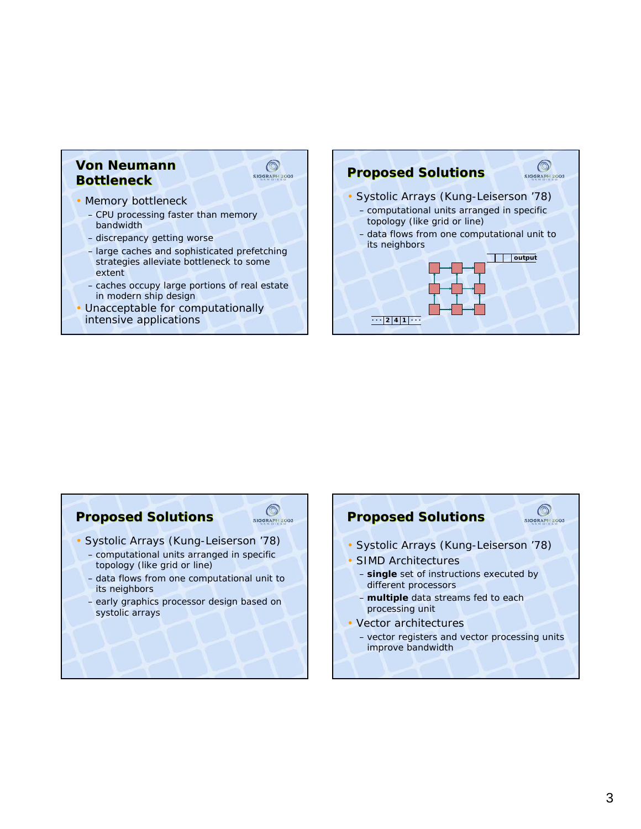### **Von Neumann Bottleneck**



#### • Memory bottleneck

- CPU processing faster than memory bandwidth
- discrepancy getting worse
- large caches and sophisticated prefetching strategies alleviate bottleneck to some extent
- caches occupy large portions of real estate in modern ship design
- Unacceptable for computationally intensive applications



### **Proposed Solutions**



- Systolic Arrays (Kung-Leiserson '78)
	- computational units arranged in specific topology (like grid or line)
	- data flows from one computational unit to its neighbors
	- early graphics processor design based on systolic arrays

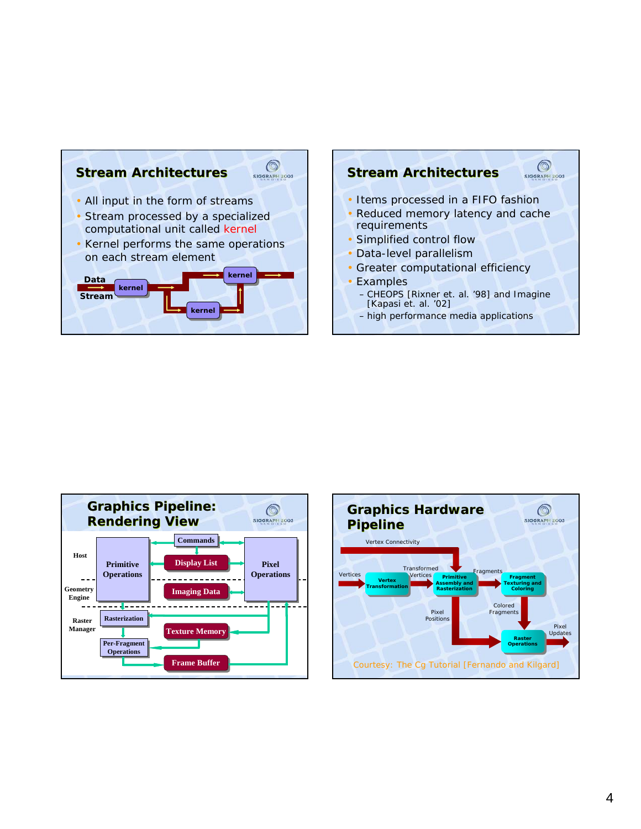





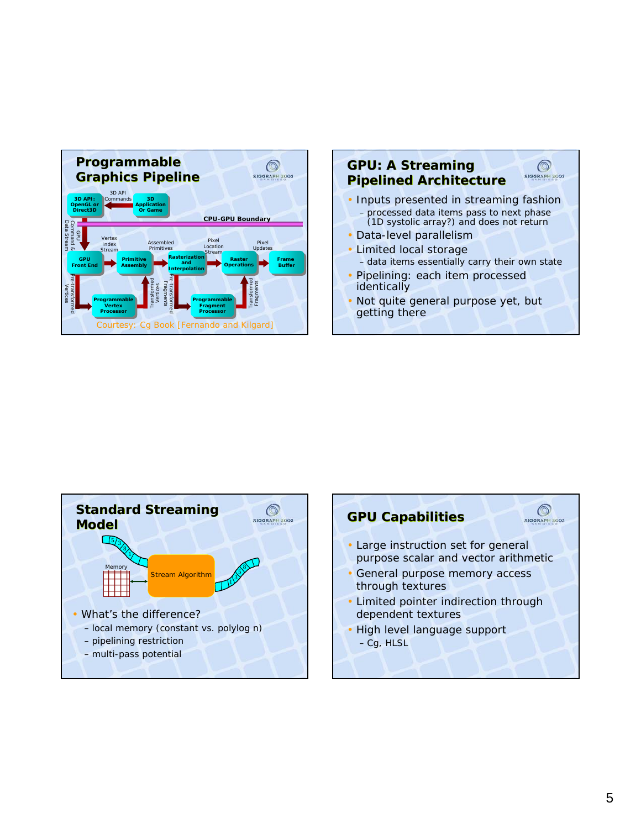





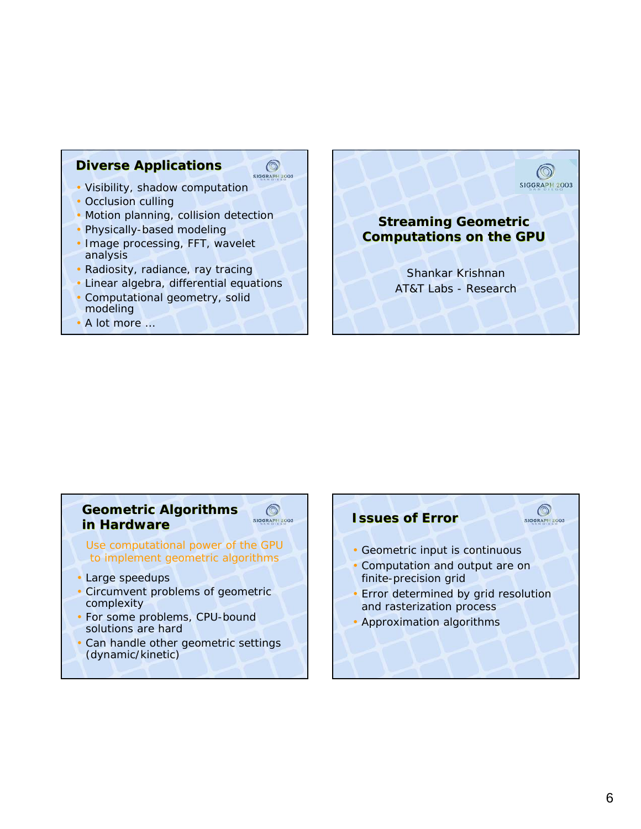### **Diverse Applications**

- Visibility, shadow computation
- Occlusion culling
- Motion planning, collision detection

 $\circledcirc$ SIGGRAPH 2003

 $\circledcirc$ 

**SIGGRAPH 2003** 

- Physically-based modeling
- Image processing, FFT, wavelet analysis
- Radiosity, radiance, ray tracing
- Linear algebra, differential equations
- Computational geometry, solid modeling
- A lot more …

# **Streaming Geometric Computations on the GPU**

**SIGGRAPH 2003** 

Shankar Krishnan AT&T Labs - Research

## **Geometric Algorithms in Hardware**

Use computational power of the GPU to implement geometric algorithms

- Large speedups
- Circumvent problems of geometric complexity
- For some problems, CPU-bound solutions are hard
- Can handle other geometric settings (dynamic/kinetic)

# $\circledcirc$ **Issues of Error** SIGGRAPH 2003 • Geometric input is continuous • Computation and output are on finite-precision grid • Error determined by grid resolution and rasterization process • Approximation algorithms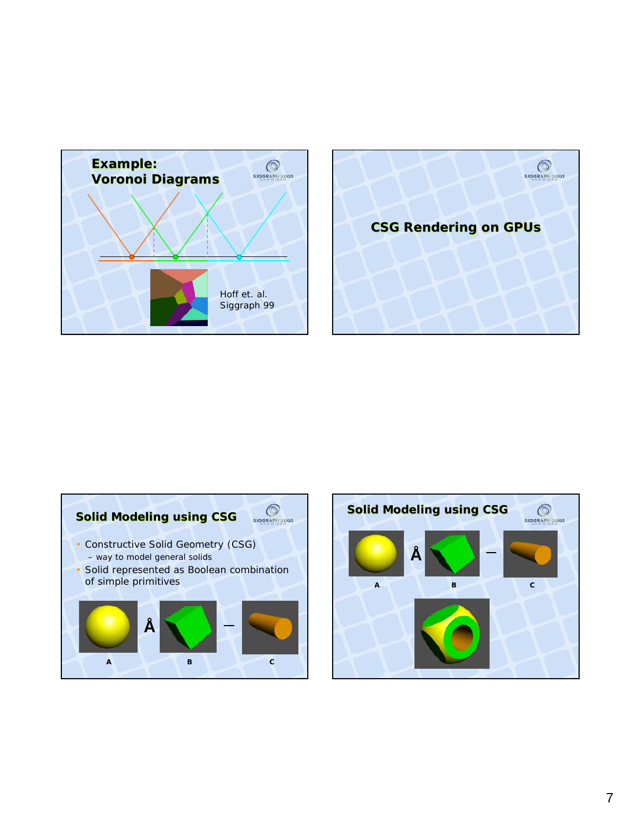





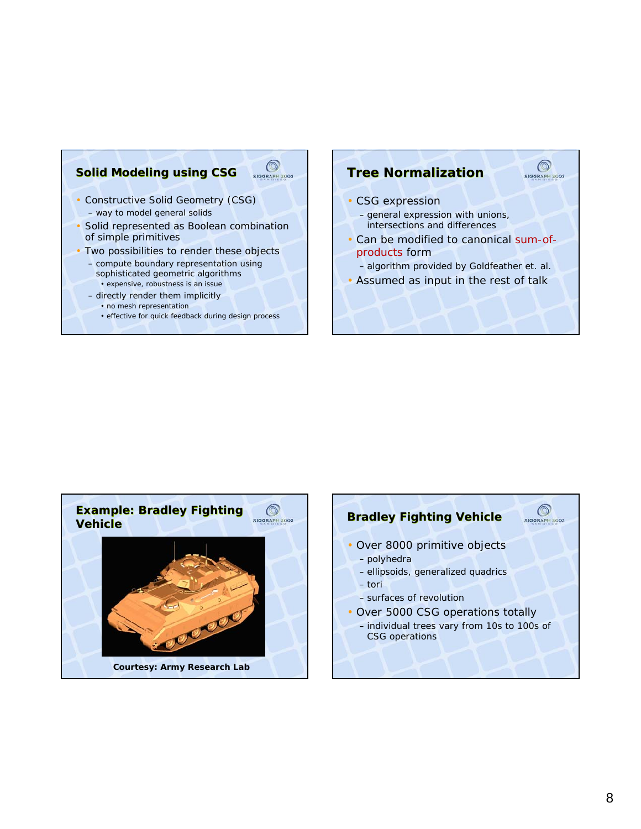### $\bigcirc$ **Solid Modeling using CSG** • Constructive Solid Geometry (CSG) – way to model general solids

- Solid represented as Boolean combination of simple primitives
- Two possibilities to render these objects
	- compute boundary representation using sophisticated geometric algorithms • expensive, robustness is an issue
	- directly render them implicitly
		- no mesh representation
		- effective for quick feedback during design process

### **Tree Normalization**

- CSG expression
	- general expression with unions, intersections and differences
- Can be modified to canonical sum-ofproducts form

 $\circledcirc$ SIGGRAPH 2003

- algorithm provided by Goldfeather et. al.
- Assumed as input in the rest of talk



# $\circledcirc$ **Bradley Fighting Vehicle** SIGGRAPH 2003 • Over 8000 primitive objects – polyhedra – ellipsoids, generalized quadrics – tori – surfaces of revolution • Over 5000 CSG operations totally – individual trees vary from 10s to 100s of CSG operations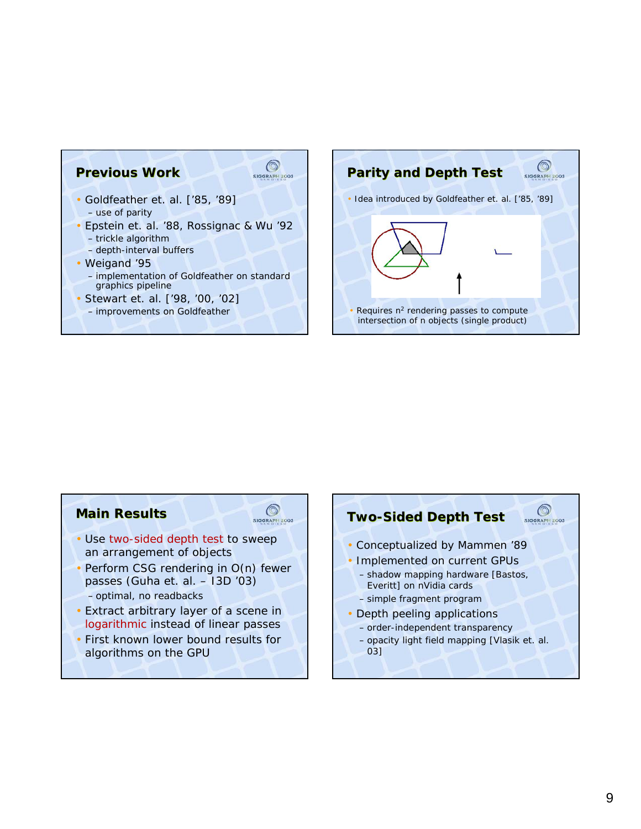



# **Main Results**



- Use two-sided depth test to sweep an arrangement of objects
- Perform CSG rendering in O(n) fewer passes (Guha et. al. – I3D '03)
	- optimal, no readbacks
- Extract arbitrary layer of a scene in *logarithmic* instead of *linear* passes
- First known lower bound results for algorithms on the GPU

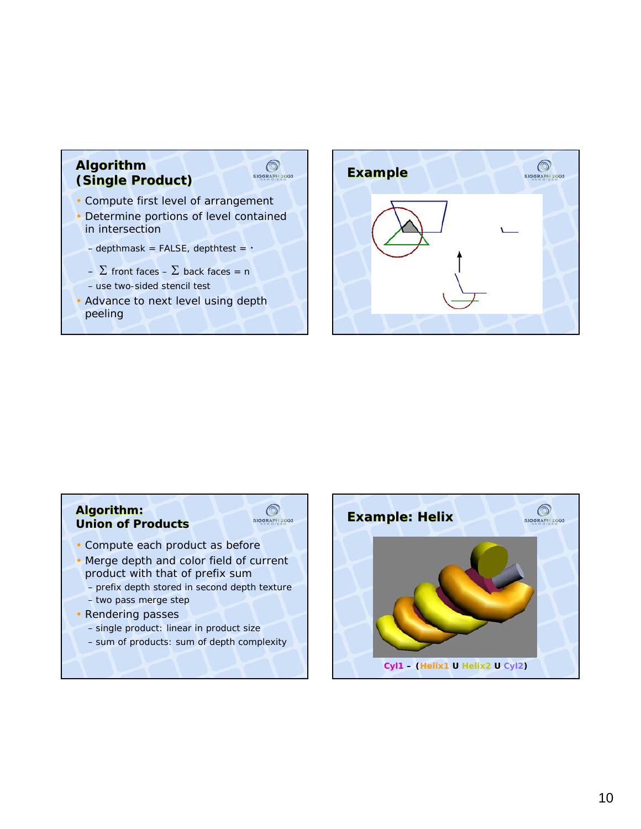



### **Algorithm: Union of Products**



- Compute each product as before
- Merge depth and color field of current product with that of prefix sum
	- prefix depth stored in second depth texture
- two pass merge step
- Rendering passes
	- single product: linear in product size
	- sum of products: sum of depth complexity

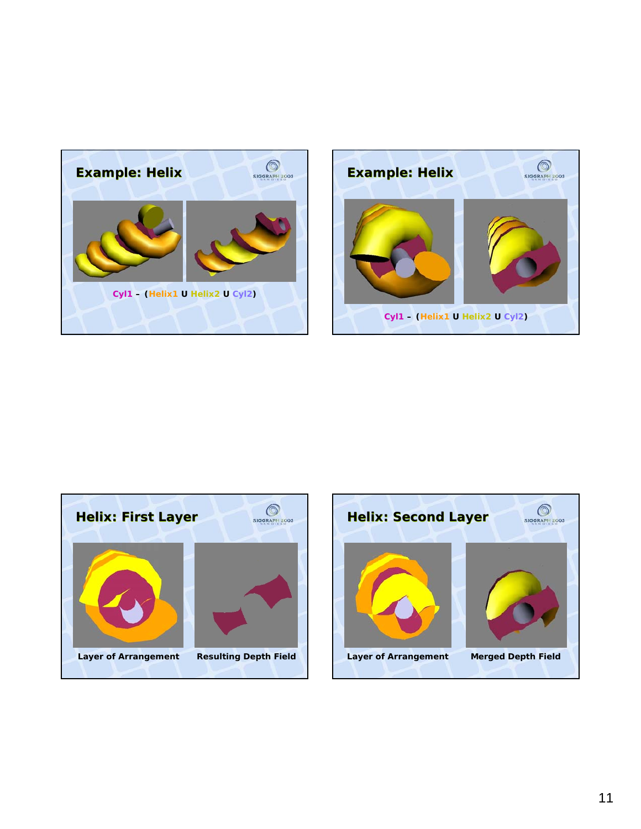





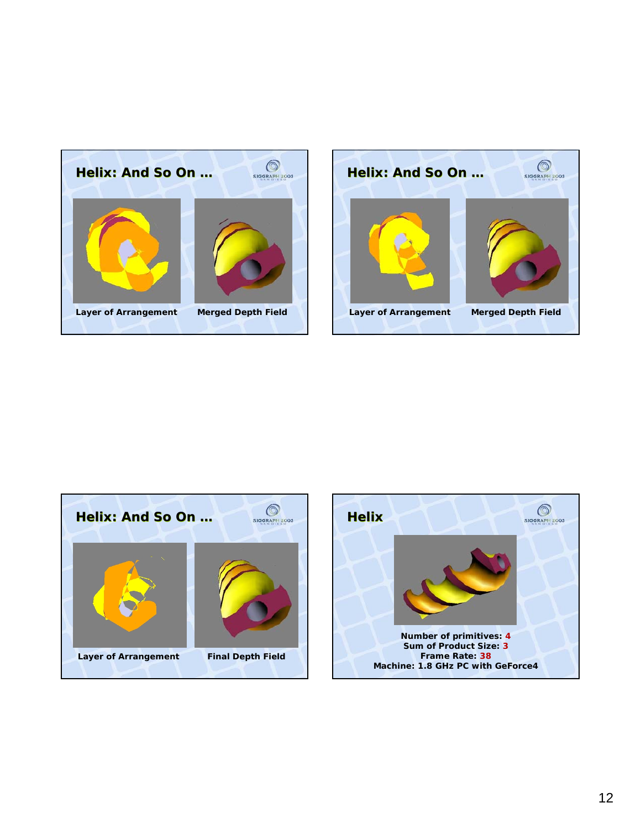



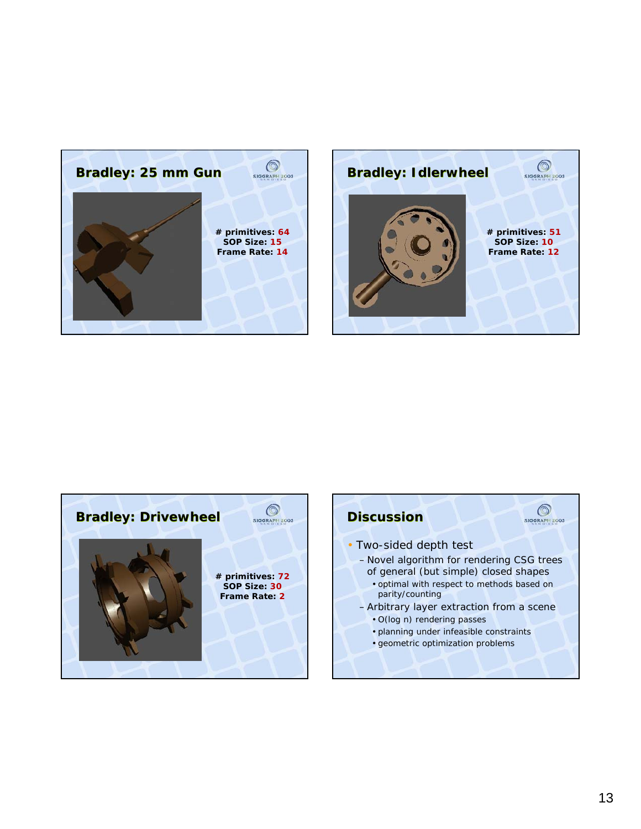



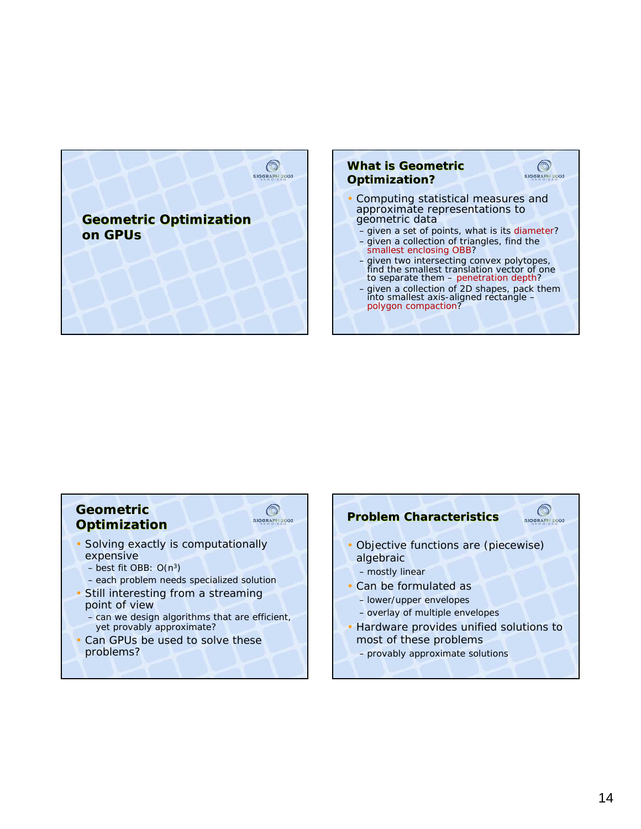



- Computing statistical measures and approximate representations to geometric data
	- given a set of points, what is its diameter? – given a collection of triangles, find the

 $\circledcirc$ 

**SIGGRAPH 2003** 

- smallest enclosing OBB?
- given two intersecting convex polytopes, find the smallest translation vector of one to separate them – penetration depth?
- given a collection of 2D shapes, pack them into smallest axis-aligned rectangle – polygon compaction?

### **Geometric Optimization**



 $\circledcirc$ 

- Solving exactly is computationally expensive
	- $-$  best fit OBB:  $O(n^3)$
	- each problem needs specialized solution
- Still interesting from a streaming point of view
	- can we design algorithms that are efficient, yet provably approximate?
- Can GPUs be used to solve these problems?

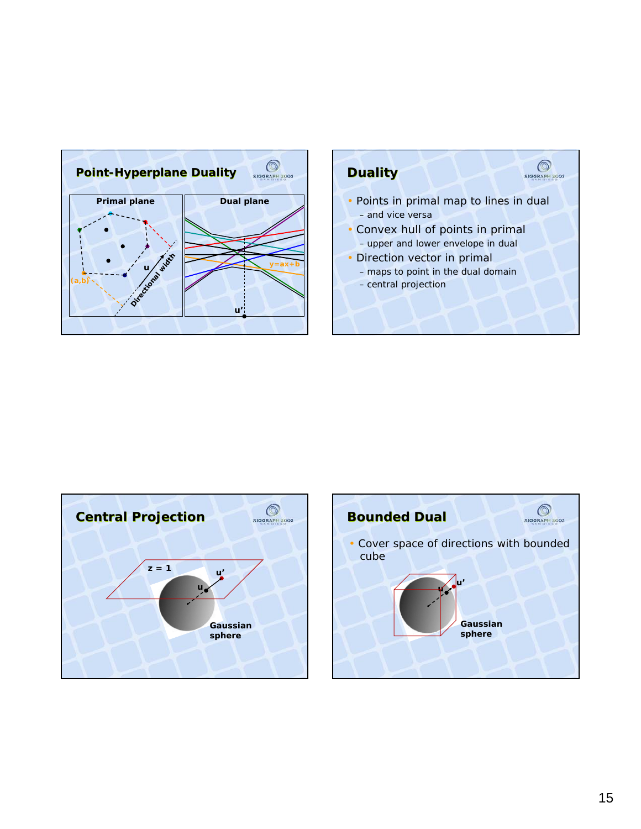





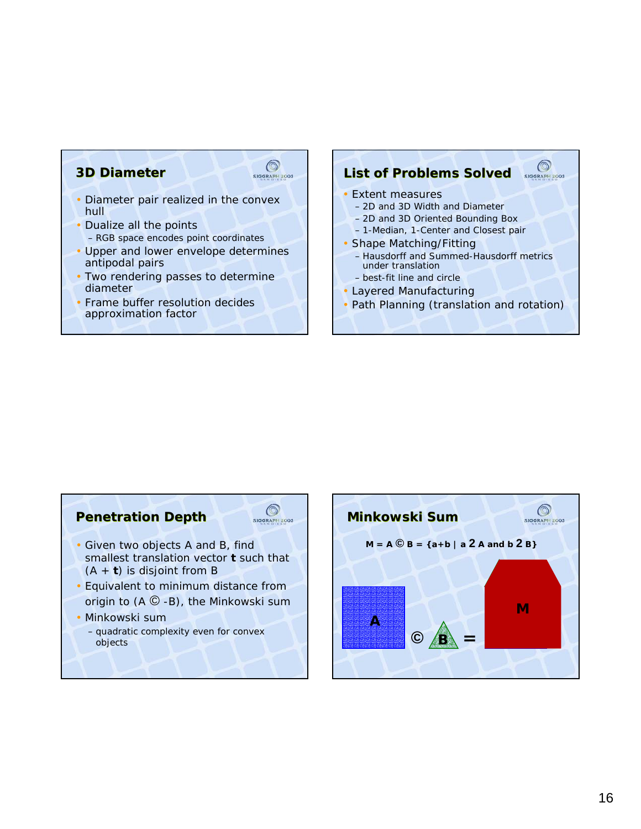# **3D Diameter**



- Diameter pair realized in the convex hull
- Dualize all the points – RGB space encodes point coordinates
- Upper and lower envelope determines antipodal pairs
- Two rendering passes to determine diameter
- Frame buffer resolution decides approximation factor

#### $\circledcirc$ **List of Problems Solved** SIGGRAPH 2003 • Extent measures

- 2D and 3D Width and Diameter
- 2D and 3D Oriented Bounding Box
- 1-Median, 1-Center and Closest pair
- Shape Matching/Fitting
- Hausdorff and Summed-Hausdorff metrics under translation
- best-fit line and circle
- Layered Manufacturing
- Path Planning (translation and rotation)

# **Penetration Depth**



- Given two objects A and B, find smallest translation vector *t* such that (A + *t*) is disjoint from B
- Equivalent to minimum distance from origin to  $(A \mathbb{C} - B)$ , the Minkowski sum
- Minkowski sum
	- quadratic complexity even for convex objects

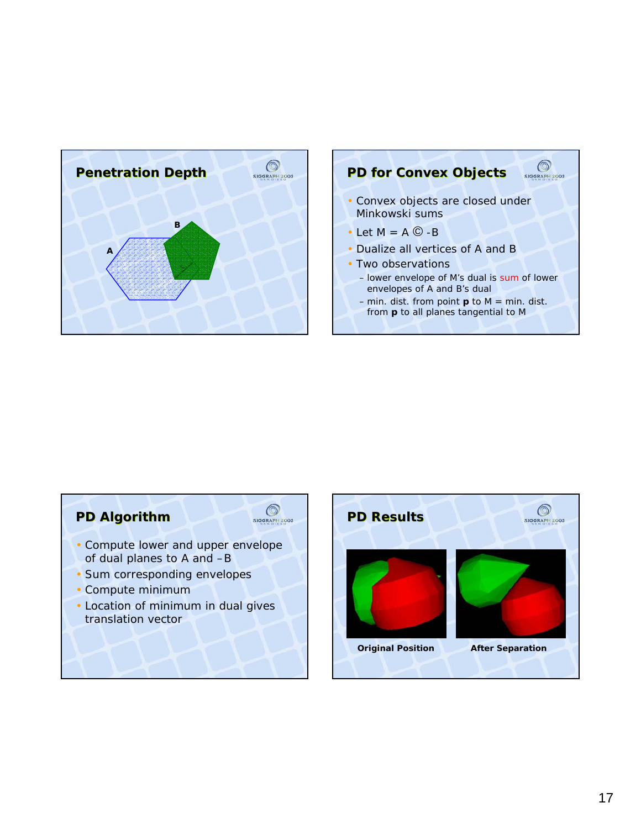



### **PD Algorithm**



- Compute lower and upper envelope of dual planes to A and –B
- Sum corresponding envelopes
- Compute minimum
- Location of minimum in dual gives translation vector

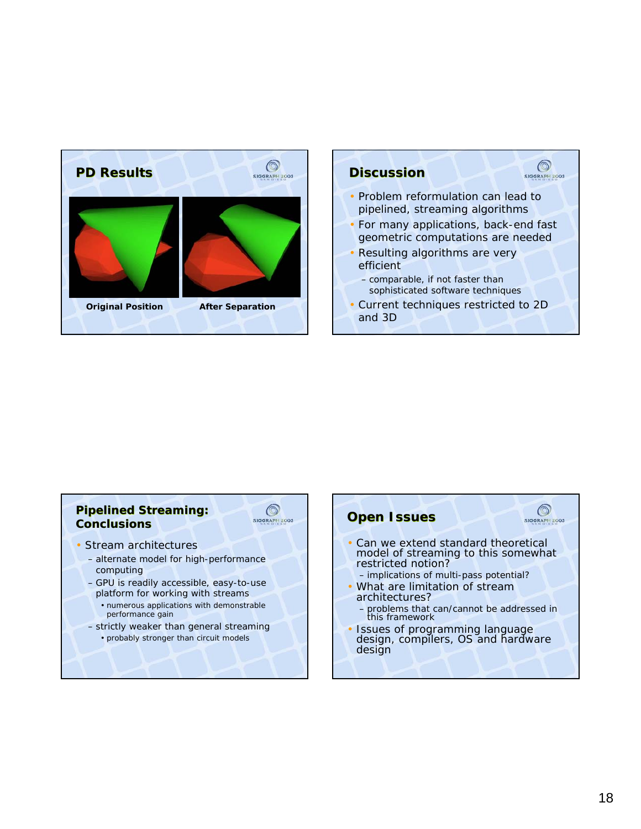

# $\bigcirc$ **Discussion** • Problem reformulation can lead to pipelined, streaming algorithms • For many applications, back-end fast geometric computations are needed • Resulting algorithms are very efficient – comparable, if not faster than sophisticated software techniques • Current techniques restricted to 2D and 3D

### **Pipelined Streaming: Conclusions**



- Stream architectures
	- alternate model for high-performance computing
	- GPU is readily accessible, easy-to-use platform for working with streams
		- numerous applications with demonstrable performance gain
	- strictly weaker than general streaming • probably stronger than circuit models